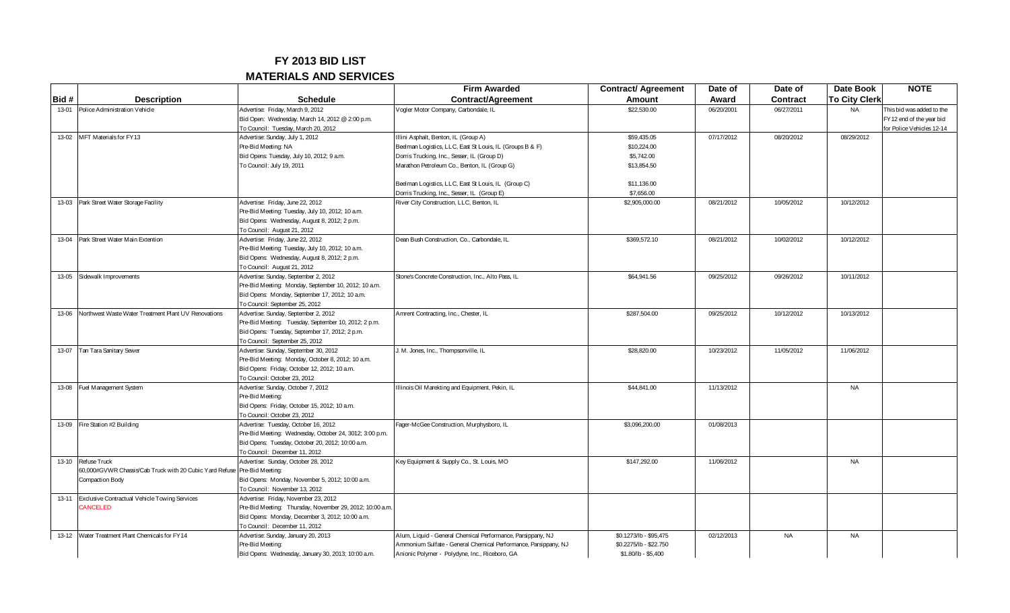## **FY 2013 BID LIST**

## **MATERIALS AND SERVICES**

|           |                                                                            |                                                          | <b>Firm Awarded</b>                                             | <b>Contract/ Agreement</b> | Date of    | Date of         | Date Book            | <b>NOTE</b>               |
|-----------|----------------------------------------------------------------------------|----------------------------------------------------------|-----------------------------------------------------------------|----------------------------|------------|-----------------|----------------------|---------------------------|
| Bid #     | <b>Description</b>                                                         | <b>Schedule</b>                                          | Contract/Agreement                                              | <b>Amount</b>              | Award      | <b>Contract</b> | <b>To City Clerk</b> |                           |
| 13-01     | Police Administration Vehicle                                              | Advertise: Friday, March 9, 2012                         | Vogler Motor Company, Carbondale, IL                            | \$22,530.00                | 06/20/2001 | 06/27/2011      | <b>NA</b>            | This bid was added to the |
|           |                                                                            | Bid Open: Wednesday, March 14, 2012 @ 2:00 p.m.          |                                                                 |                            |            |                 |                      | FY12 end of the year bid  |
|           |                                                                            | To Council: Tuesday, March 20, 2012                      |                                                                 |                            |            |                 |                      | for Police Vehicles 12-14 |
| 13-02     | MFT Materials for FY13                                                     | Advertise: Sunday, July 1, 2012                          | Ilini Asphalt, Benton, IL (Group A)                             | \$59,435.05                | 07/17/2012 | 08/20/2012      | 08/29/2012           |                           |
|           |                                                                            | Pre-Bid Meeting: NA                                      | Beelman Logistics, LLC, East St Louis, IL (Groups B & F)        | \$10,224.00                |            |                 |                      |                           |
|           |                                                                            | Bid Opens: Tuesday, July 10, 2012; 9 a.m.                | Dorris Trucking, Inc., Sesser, IL (Group D)                     | \$5,742.00                 |            |                 |                      |                           |
|           |                                                                            | To Council: July 19, 2011                                | Marathon Petroleum Co., Benton, IL (Group G)                    | \$13,854.50                |            |                 |                      |                           |
|           |                                                                            |                                                          |                                                                 |                            |            |                 |                      |                           |
|           |                                                                            |                                                          | Beelman Logistics, LLC, East St Louis, IL (Group C)             | \$11,136.00                |            |                 |                      |                           |
|           |                                                                            |                                                          | Dorris Trucking, Inc., Sesser, IL (Group E)                     | \$7,656.00                 |            |                 |                      |                           |
| 13-03     | Park Street Water Storage Facility                                         | Advertise: Friday, June 22, 2012                         | River City Construction, LLC, Benton, IL                        | \$2,905,000.00             | 08/21/2012 | 10/05/2012      | 10/12/2012           |                           |
|           |                                                                            | Pre-Bid Meeting: Tuesday, July 10, 2012; 10 a.m.         |                                                                 |                            |            |                 |                      |                           |
|           |                                                                            | Bid Opens: Wednesday, August 8, 2012; 2 p.m.             |                                                                 |                            |            |                 |                      |                           |
|           |                                                                            | To Council: August 21, 2012                              |                                                                 |                            |            |                 |                      |                           |
| 13-04     | Park Street Water Main Extention                                           | Advertise: Friday, June 22, 2012                         | Dean Bush Construction, Co., Carbondale, IL                     | \$369,572.10               | 08/21/2012 | 10/02/2012      | 10/12/2012           |                           |
|           |                                                                            | Pre-Bid Meeting: Tuesday, July 10, 2012; 10 a.m.         |                                                                 |                            |            |                 |                      |                           |
|           |                                                                            | Bid Opens: Wednesday, August 8, 2012; 2 p.m.             |                                                                 |                            |            |                 |                      |                           |
|           |                                                                            | To Council: August 21, 2012                              |                                                                 |                            |            |                 |                      |                           |
| 13-05     | Sidewalk Improvements                                                      | Advertise: Sunday, September 2, 2012                     | Stone's Concrete Construction, Inc., Alto Pass, IL              | \$64,941.56                | 09/25/2012 | 09/26/2012      | 10/11/2012           |                           |
|           |                                                                            | Pre-Bid Meeting: Monday, September 10, 2012; 10 a.m.     |                                                                 |                            |            |                 |                      |                           |
|           |                                                                            | Bid Opens: Monday, September 17, 2012; 10 a.m.           |                                                                 |                            |            |                 |                      |                           |
|           |                                                                            | To Council: September 25, 2012                           |                                                                 |                            |            |                 |                      |                           |
| 13-06     | Northwest Waste Water Treatment Plant UV Renovations                       | Advertise: Sunday, September 2, 2012                     | Amrent Contracting, Inc., Chester, IL                           | \$287,504.00               | 09/25/2012 | 10/12/2012      | 10/13/2012           |                           |
|           |                                                                            | Pre-Bid Meeting: Tuesday, September 10, 2012; 2 p.m.     |                                                                 |                            |            |                 |                      |                           |
|           |                                                                            | Bid Opens: Tuesday, September 17, 2012; 2 p.m.           |                                                                 |                            |            |                 |                      |                           |
|           |                                                                            | To Council: September 25, 2012                           |                                                                 |                            |            |                 |                      |                           |
| 13-07     | Tan Tara Sanitary Sewer                                                    | Advertise: Sunday, September 30, 2012                    | J. M. Jones, Inc., Thompsonville, IL                            | \$28,820.00                | 10/23/2012 | 11/05/2012      | 11/06/2012           |                           |
|           |                                                                            | Pre-Bid Meeting: Monday, October 8, 2012; 10 a.m.        |                                                                 |                            |            |                 |                      |                           |
|           |                                                                            | Bid Opens: Friday, October 12, 2012; 10 a.m.             |                                                                 |                            |            |                 |                      |                           |
|           |                                                                            | To Council: October 23, 2012                             |                                                                 |                            |            |                 |                      |                           |
| 13-08     | Fuel Management System                                                     | Advertise: Sunday, October 7, 2012                       | Illinois Oil Marekting and Equipment, Pekin, IL                 | \$44,841.00                | 11/13/2012 |                 | <b>NA</b>            |                           |
|           |                                                                            | Pre-Bid Meeting:                                         |                                                                 |                            |            |                 |                      |                           |
|           |                                                                            | Bid Opens: Friday, October 15, 2012; 10 a.m.             |                                                                 |                            |            |                 |                      |                           |
|           |                                                                            | To Council: October 23, 2012                             |                                                                 |                            |            |                 |                      |                           |
| 13-09     | Fire Station #2 Building                                                   | Advertise: Tuesday, October 16, 2012                     | Fager-McGee Construction, Murphysboro, IL                       | \$3,096,200.00             | 01/08/2013 |                 |                      |                           |
|           |                                                                            | Pre-Bid Meeting: Wednesday, October 24, 3012; 3:00 p.m.  |                                                                 |                            |            |                 |                      |                           |
|           |                                                                            | Bid Opens: Tuesday, October 20, 2012; 10:00 a.m.         |                                                                 |                            |            |                 |                      |                           |
|           |                                                                            | To Council: December 11, 2012                            |                                                                 |                            |            |                 |                      |                           |
| $13 - 10$ | Refuse Truck                                                               | Advertise: Sunday, October 28, 2012                      | Key Equipment & Supply Co., St. Louis, MO                       | \$147,292.00               | 11/06/2012 |                 | <b>NA</b>            |                           |
|           | 60,000#GVWR Chassis/Cab Truck with 20 Cubic Yard Refuse   Pre-Bid Meeting: |                                                          |                                                                 |                            |            |                 |                      |                           |
|           | Compaction Body                                                            | Bid Opens: Monday, November 5, 2012; 10:00 a.m.          |                                                                 |                            |            |                 |                      |                           |
|           |                                                                            | To Council: November 13, 2012                            |                                                                 |                            |            |                 |                      |                           |
| $13 - 11$ | Exclusive Contractual Vehicle Towing Services                              | Advertise: Friday, November 23, 2012                     |                                                                 |                            |            |                 |                      |                           |
|           | <b>ANCELED</b>                                                             | Pre-Bid Meeting: Thursday, November 29, 2012; 10:00 a.m. |                                                                 |                            |            |                 |                      |                           |
|           |                                                                            | Bid Opens: Monday, December 3, 2012; 10:00 a.m.          |                                                                 |                            |            |                 |                      |                           |
|           |                                                                            | To Council: December 11, 2012                            |                                                                 |                            |            |                 |                      |                           |
| $13 - 12$ | Water Treatment Plant Chemicals for FY14                                   | Advertise: Sunday, January 20, 2013                      | Alum, Liquid - General Chemical Performance, Parsippany, NJ     | \$0.1273/lb - \$95,475     | 02/12/2013 | <b>NA</b>       | <b>NA</b>            |                           |
|           |                                                                            | Pre-Bid Meeting:                                         | Ammonium Sulfate - General Chemical Performance, Parsippany, NJ | \$0.2275/lb - \$22.750     |            |                 |                      |                           |
|           |                                                                            | Bid Opens: Wednesday, January 30, 2013; 10:00 a.m.       | Anionic Polymer - Polydyne, Inc., Riceboro, GA                  | $$1.80/b - $5,400$         |            |                 |                      |                           |